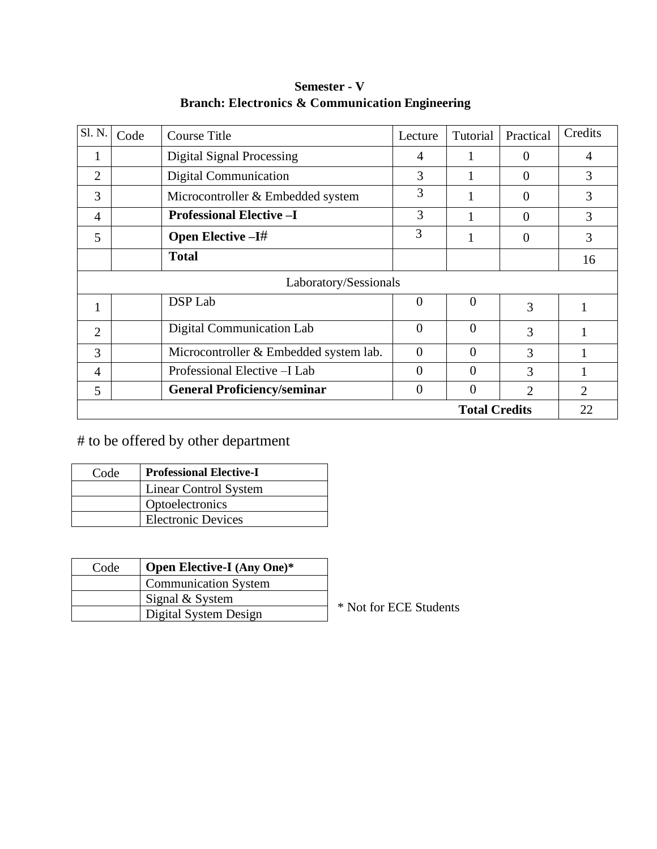| Sl. N.               | Code                  | <b>Course Title</b>                    | Lecture        | Tutorial       | Practical      | Credits                     |
|----------------------|-----------------------|----------------------------------------|----------------|----------------|----------------|-----------------------------|
| $\mathbf{I}$         |                       | Digital Signal Processing              | 4              | 1              | $\Omega$       | $\overline{4}$              |
| $\overline{2}$       |                       | <b>Digital Communication</b>           | 3              |                | $\Omega$       | 3                           |
| 3                    |                       | Microcontroller & Embedded system      | 3              | 1              | $\Omega$       | 3                           |
| 4                    |                       | <b>Professional Elective -I</b>        | 3              |                | $\Omega$       | 3                           |
| 5                    |                       | <b>Open Elective - I#</b>              | 3              |                | $\Omega$       | 3                           |
|                      |                       | <b>Total</b>                           |                |                |                | 16                          |
|                      | Laboratory/Sessionals |                                        |                |                |                |                             |
|                      |                       | DSP Lab                                | $\overline{0}$ | $\Omega$       | 3              |                             |
| $\overline{2}$       |                       | <b>Digital Communication Lab</b>       | $\overline{0}$ | $\overline{0}$ | 3              |                             |
| 3                    |                       | Microcontroller & Embedded system lab. | $\theta$       | $\Omega$       | 3              |                             |
| 4                    |                       | Professional Elective - I Lab          | 0              | $\Omega$       | 3              |                             |
| 5                    |                       | <b>General Proficiency/seminar</b>     | $\theta$       | $\theta$       | $\mathfrak{D}$ | $\mathcal{D}_{\mathcal{L}}$ |
| <b>Total Credits</b> |                       |                                        |                |                | 22             |                             |

**Semester - V Branch: Electronics & Communication Engineering**

# to be offered by other department

| Code | <b>Professional Elective-I</b> |
|------|--------------------------------|
|      | <b>Linear Control System</b>   |
|      | Optoelectronics                |
|      | <b>Electronic Devices</b>      |

| Code | <b>Open Elective-I</b> (Any One)* |  |
|------|-----------------------------------|--|
|      | <b>Communication System</b>       |  |
|      | Signal & System                   |  |
|      | Digital System Design             |  |

ot for ECE Students